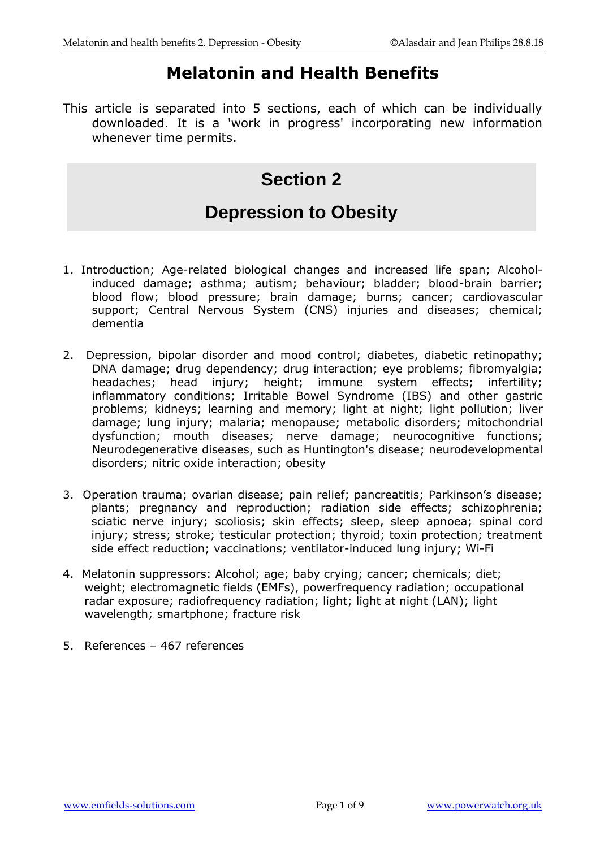# **Melatonin and Health Benefits**

This article is separated into 5 sections, each of which can be individually downloaded. It is a 'work in progress' incorporating new information whenever time permits.

# **Section 2**

# **Depression to Obesity**

- 1. Introduction; Age-related biological changes and increased life span; Alcoholinduced damage; asthma; autism; behaviour; bladder; blood-brain barrier; blood flow; blood pressure; brain damage; burns; cancer; cardiovascular support; Central Nervous System (CNS) injuries and diseases; chemical; dementia
- 2. Depression, bipolar disorder and mood control; diabetes, diabetic retinopathy; DNA damage; drug dependency; drug interaction; eye problems; fibromyalgia; headaches; head injury; height; immune system effects; infertility; inflammatory conditions; Irritable Bowel Syndrome (IBS) and other gastric problems; kidneys; learning and memory; light at night; light pollution; liver damage; lung injury; malaria; menopause; metabolic disorders; mitochondrial dysfunction; mouth diseases; nerve damage; neurocognitive functions; Neurodegenerative diseases, such as Huntington's disease; neurodevelopmental disorders; nitric oxide interaction; obesity
- 3. Operation trauma; ovarian disease; pain relief; pancreatitis; Parkinson's disease; plants; pregnancy and reproduction; radiation side effects; schizophrenia; sciatic nerve injury; scoliosis; skin effects; sleep, sleep apnoea; spinal cord injury; stress; stroke; testicular protection; thyroid; toxin protection; treatment side effect reduction; vaccinations; ventilator-induced lung injury; Wi-Fi
- 4. Melatonin suppressors: Alcohol; age; baby crying; cancer; chemicals; diet; weight; electromagnetic fields (EMFs), powerfrequency radiation; occupational radar exposure; radiofrequency radiation; light; light at night (LAN); light wavelength; smartphone; fracture risk
- 5. References 467 references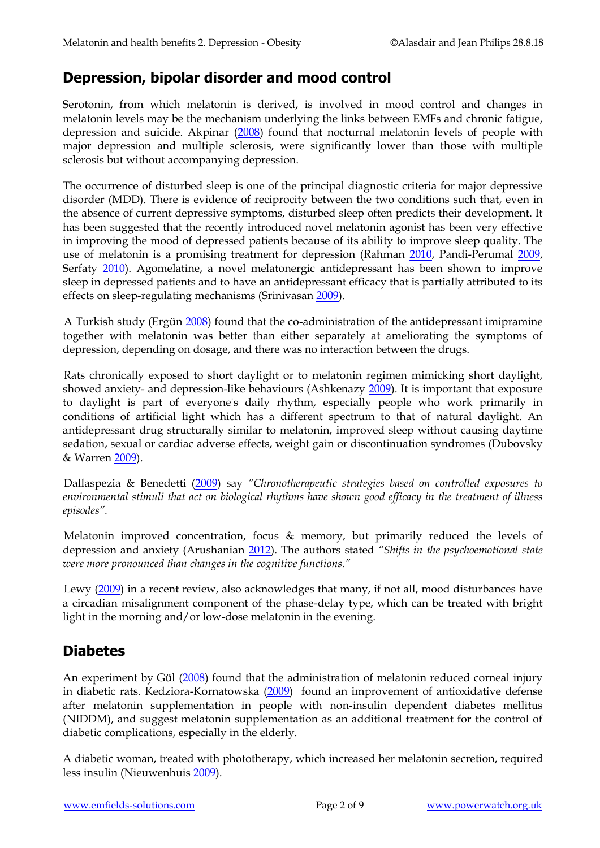#### **Depression, bipolar disorder and mood control**

Serotonin, from which melatonin is derived, is involved in mood control and changes in melatonin levels may be the mechanism underlying the links between EMFs and chronic fatigue, depression and suicide. Akpinar [\(2008\)](http://www.ncbi.nlm.nih.gov/pubmed/18848732) found that nocturnal melatonin levels of people with major depression and multiple sclerosis, were significantly lower than those with multiple sclerosis but without accompanying depression.

The occurrence of disturbed sleep is one of the principal diagnostic criteria for major depressive disorder (MDD). There is evidence of reciprocity between the two conditions such that, even in the absence of current depressive symptoms, disturbed sleep often predicts their development. It has been suggested that the recently introduced novel melatonin agonist has been very effective in improving the mood of depressed patients because of its ability to improve sleep quality. The use of melatonin is a promising treatment for depression (Rahman [2010,](http://www.ncbi.nlm.nih.gov/pubmed/20044310) Pandi-Perumal [2009,](http://www.ncbi.nlm.nih.gov/pubmed/18609422) Serfaty [2010\)](http://www.ncbi.nlm.nih.gov/pubmed/20195158). Agomelatine, a novel melatonergic antidepressant has been shown to improve sleep in depressed patients and to have an antidepressant efficacy that is partially attributed to its effects on sleep-regulating mechanisms (Srinivasan [2009\)](http://www.ncbi.nlm.nih.gov/pubmed/19326288).

A Turkish study (Ergün [2008\)](http://www.ncbi.nlm.nih.gov/pubmed/18601918?ordinalpos=1&itool=EntrezSystem2.PEntrez.Pubmed.Pubmed_ResultsPanel.Pubmed_RVDocSum) found that the co-administration of the antidepressant imipramine together with melatonin was better than either separately at ameliorating the symptoms of depression, depending on dosage, and there was no interaction between the drugs.

Rats chronically exposed to short daylight or to melatonin regimen mimicking short daylight, showed anxiety- and depression-like behaviours (Ashkenazy [2009\)](http://www.ncbi.nlm.nih.gov/pubmed/19428655). It is important that exposure to daylight is part of everyone's daily rhythm, especially people who work primarily in conditions of artificial light which has a different spectrum to that of natural daylight. An antidepressant drug structurally similar to melatonin, improved sleep without causing daytime sedation, sexual or cardiac adverse effects, weight gain or discontinuation syndromes (Dubovsky & Warren [2009\)](http://www.ncbi.nlm.nih.gov/pubmed/19758108).

Dallaspezia & Benedetti [\(2009\)](http://www.ncbi.nlm.nih.gov/pubmed/19909672) say *"Chronotherapeutic strategies based on controlled exposures to environmental stimuli that act on biological rhythms have shown good efficacy in the treatment of illness episodes".*

Melatonin improved concentration, focus & memory, but primarily reduced the levels of depression and anxiety (Arushanian [2012\)](http://www.ncbi.nlm.nih.gov/pubmed/23240152). The authors stated *"Shifts in the psychoemotional state were more pronounced than changes in the cognitive functions."*

Lewy [\(2009\)](http://www.ncbi.nlm.nih.gov/pubmed/19909668) in a recent review, also acknowledges that many, if not all, mood disturbances have a circadian misalignment component of the phase-delay type, which can be treated with bright light in the morning and/or low-dose melatonin in the evening.

## **Diabetes**

An experiment by Gül [\(2008\)](http://www.ncbi.nlm.nih.gov/pubmed/18650666?ordinalpos=1&itool=EntrezSystem2.PEntrez.Pubmed.Pubmed_ResultsPanel.Pubmed_RVDocSum) found that the administration of melatonin reduced corneal injury in diabetic rats. Kedziora-Kornatowska [\(2009\)](http://www.ncbi.nlm.nih.gov/pubmed/19317795) found an improvement of antioxidative defense after melatonin supplementation in people with non-insulin dependent diabetes mellitus (NIDDM), and suggest melatonin supplementation as an additional treatment for the control of diabetic complications, especially in the elderly.

A diabetic woman, treated with phototherapy, which increased her melatonin secretion, required less insulin (Nieuwenhuis [2009\)](http://www.ncbi.nlm.nih.gov/pubmed/19760569).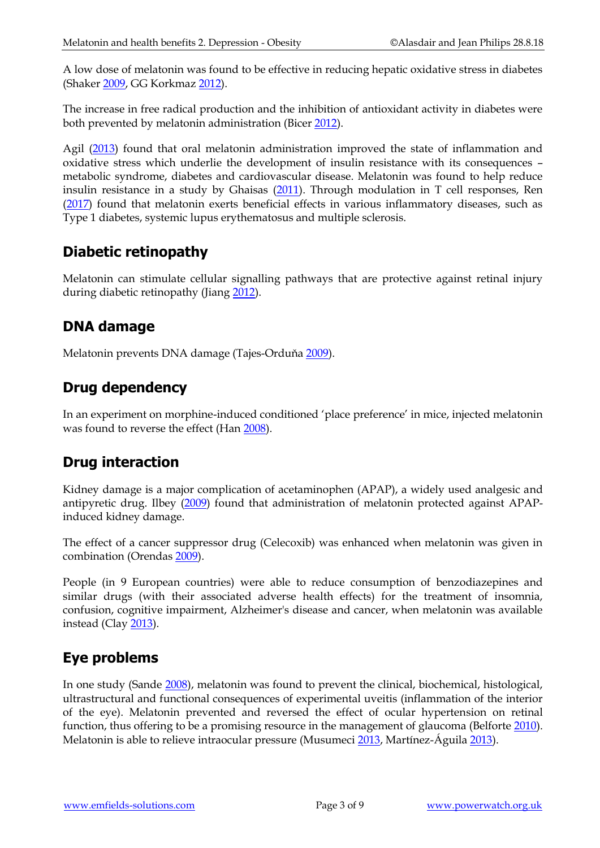A low dose of melatonin was found to be effective in reducing hepatic oxidative stress in diabetes (Shaker [2009,](http://www.ncbi.nlm.nih.gov/pubmed/20119817) GG Korkmaz [2012\)](http://www.ncbi.nlm.nih.gov/pubmed/23217563).

The increase in free radical production and the inhibition of antioxidant activity in diabetes were both prevented by melatonin administration (Bicer [2012\)](http://www.ncbi.nlm.nih.gov/pubmed/23173626).

Agil [\(2013\)](http://www.ncbi.nlm.nih.gov/pubmed/23020082) found that oral melatonin administration improved the state of inflammation and oxidative stress which underlie the development of insulin resistance with its consequences – metabolic syndrome, diabetes and cardiovascular disease. Melatonin was found to help reduce insulin resistance in a study by Ghaisas [\(2011\)](http://www.ncbi.nlm.nih.gov/pubmed/23112392). Through modulation in T cell responses, Ren [\(2017\)](https://www.ncbi.nlm.nih.gov/pubmed/28152213) found that melatonin exerts beneficial effects in various inflammatory diseases, such as Type 1 diabetes, systemic lupus erythematosus and multiple sclerosis.

#### **Diabetic retinopathy**

Melatonin can stimulate cellular signalling pathways that are protective against retinal injury during diabetic retinopathy (Jiang [2012\)](http://www.ncbi.nlm.nih.gov/pubmed/23226532).

#### **DNA damage**

Melatonin prevents DNA damage (Tajes-Orduňa [2009\)](http://www.ncbi.nlm.nih.gov/pubmed/19196437).

## **Drug dependency**

In an experiment on morphine-induced conditioned 'place preference' in mice, injected melatonin was found to reverse the effect (Han [2008\)](http://www.ncbi.nlm.nih.gov/pubmed/18706407?ordinalpos=1&itool=EntrezSystem2.PEntrez.Pubmed.Pubmed_ResultsPanel.Pubmed_RVDocSum).

## **Drug interaction**

Kidney damage is a major complication of acetaminophen (APAP), a widely used analgesic and antipyretic drug. Ilbey [\(2009\)](http://www.ncbi.nlm.nih.gov/pubmed/19117117?ordinalpos=1&itool=EntrezSystem2.PEntrez.Pubmed.Pubmed_ResultsPanel.Pubmed_DefaultReportPanel.Pubmed_RVDocSum) found that administration of melatonin protected against APAPinduced kidney damage.

The effect of a cancer suppressor drug (Celecoxib) was enhanced when melatonin was given in combination (Orendas [2009\)](http://www.ncbi.nlm.nih.gov/pubmed/19309229).

People (in 9 European countries) were able to reduce consumption of benzodiazepines and similar drugs (with their associated adverse health effects) for the treatment of insomnia, confusion, cognitive impairment, Alzheimer's disease and cancer, when melatonin was available instead (Clay [2013\)](http://www.ncbi.nlm.nih.gov/pubmed/23114457).

## **Eye problems**

In one study (Sande [2008\)](http://www.ncbi.nlm.nih.gov/pubmed/19008374?ordinalpos=1&itool=EntrezSystem2.PEntrez.Pubmed.Pubmed_ResultsPanel.Pubmed_DefaultReportPanel.Pubmed_RVDocSum), melatonin was found to prevent the clinical, biochemical, histological, ultrastructural and functional consequences of experimental uveitis (inflammation of the interior of the eye). Melatonin prevented and reversed the effect of ocular hypertension on retinal function, thus offering to be a promising resource in the management of glaucoma (Belforte [2010\)](http://www.ncbi.nlm.nih.gov/pubmed/20374442). Melatonin is able to relieve intraocular pressure (Musumeci [2013,](http://www.ncbi.nlm.nih.gov/pubmed/23078856) Martínez-Águila [2013\)](http://www.ncbi.nlm.nih.gov/pubmed/23270715).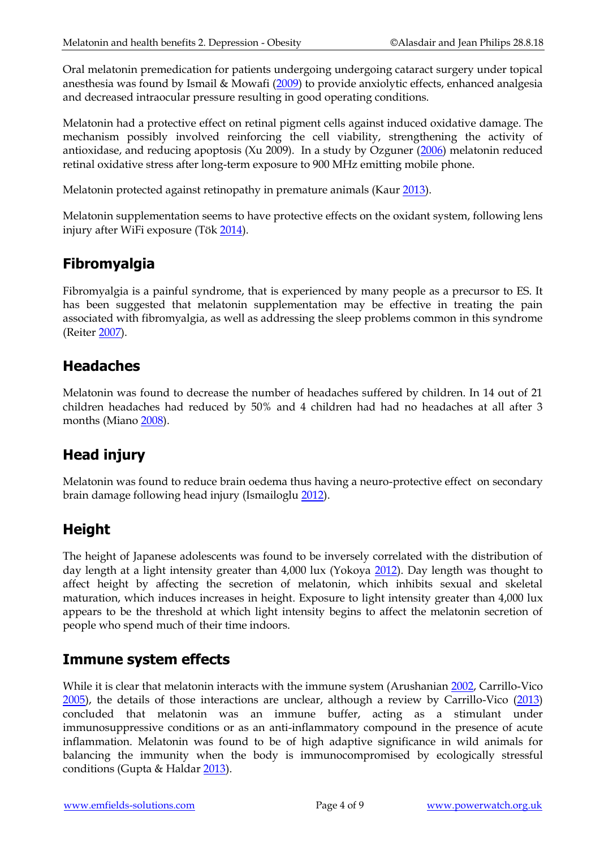Oral melatonin premedication for patients undergoing undergoing cataract surgery under topical anesthesia was found by Ismail & Mowafi [\(2009\)](http://www.ncbi.nlm.nih.gov/pubmed/19299777) to provide anxiolytic effects, enhanced analgesia and decreased intraocular pressure resulting in good operating conditions.

Melatonin had a protective effect on retinal pigment cells against induced oxidative damage. The mechanism possibly involved reinforcing the cell viability, strengthening the activity of antioxidase, and reducing apoptosis (Xu 2009). In a study by Ozguner [\(2006\)](http://www.ncbi.nlm.nih.gov/pubmed/16317515) melatonin reduced retinal oxidative stress after long-term exposure to 900 MHz emitting mobile phone.

Melatonin protected against retinopathy in premature animals (Kaur [2013\)](http://www.ncbi.nlm.nih.gov/pubmed/23113620).

Melatonin supplementation seems to have protective effects on the oxidant system, following lens injury after WiFi exposure (Tök [2014\)](http://www.ncbi.nlm.nih.gov/pubmed/24492496).

#### **Fibromyalgia**

Fibromyalgia is a painful syndrome, that is experienced by many people as a precursor to ES. It has been suggested that melatonin supplementation may be effective in treating the pain associated with fibromyalgia, as well as addressing the sleep problems common in this syndrome (Reiter [2007\)](http://www.ncbi.nlm.nih.gov/pubmed/17894923?ordinalpos=28&itool=EntrezSystem2.PEntrez.Pubmed.Pubmed_ResultsPanel.Pubmed_RVDocSum).

#### **Headaches**

Melatonin was found to decrease the number of headaches suffered by children. In 14 out of 21 children headaches had reduced by 50% and 4 children had had no headaches at all after 3 months (Miano [2008\)](http://www.ncbi.nlm.nih.gov/pubmed/18810607).

## **Head injury**

Melatonin was found to reduce brain oedema thus having a neuro-protective effect on secondary brain damage following head injury (Ismailoglu [2012\)](http://www.ncbi.nlm.nih.gov/pubmed/23208906).

## **Height**

The height of Japanese adolescents was found to be inversely correlated with the distribution of day length at a light intensity greater than 4,000 lux (Yokoya [2012\)](http://www.ncbi.nlm.nih.gov/pubmed?term=23227226). Day length was thought to affect height by affecting the secretion of melatonin, which inhibits sexual and skeletal maturation, which induces increases in height. Exposure to light intensity greater than 4,000 lux appears to be the threshold at which light intensity begins to affect the melatonin secretion of people who spend much of their time indoors.

#### **Immune system effects**

While it is clear that melatonin interacts with the immune system (Arushanian [2002,](http://www.ncbi.nlm.nih.gov/sites/entrez?cmd=Retrieve&db=pubmed&dopt=AbstractPlus&list_uids=12596522) Carrillo-Vico [2005\)](http://www.ncbi.nlm.nih.gov/sites/entrez?cmd=Retrieve&db=pubmed&dopt=AbstractPlus&list_uids=16217132), the details of those interactions are unclear, although a review by Carrillo-Vico [\(2013\)](https://www.ncbi.nlm.nih.gov/pubmed/23609496) concluded that melatonin was an immune buffer, acting as a stimulant under immunosuppressive conditions or as an anti-inflammatory compound in the presence of acute inflammation. Melatonin was found to be of high adaptive significance in wild animals for balancing the immunity when the body is immunocompromised by ecologically stressful conditions (Gupta & Haldar [2013\)](https://www.ncbi.nlm.nih.gov/pubmed/23059469).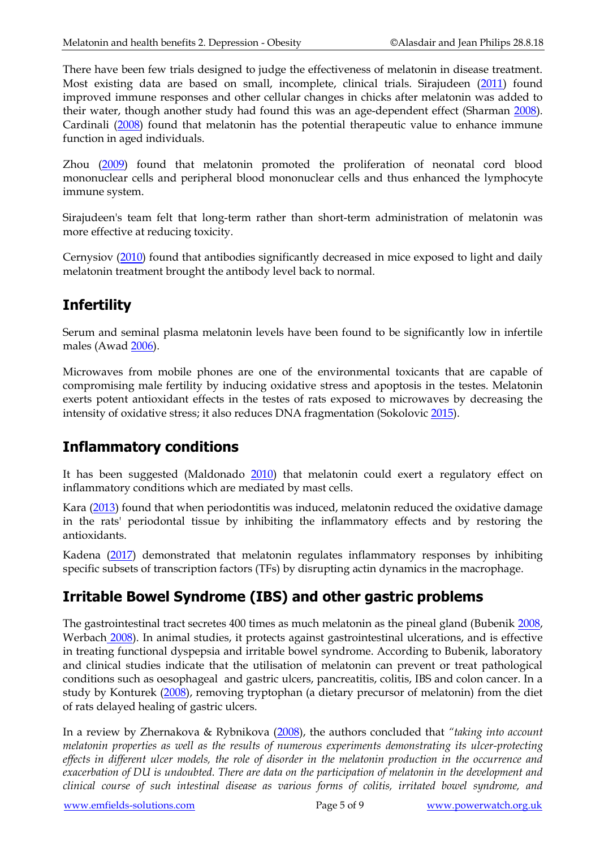There have been few trials designed to judge the effectiveness of melatonin in disease treatment. Most existing data are based on small, incomplete, clinical trials. Sirajudeen [\(2011\)](http://www.ncbi.nlm.nih.gov/pubmed/19760614) found improved immune responses and other cellular changes in chicks after melatonin was added to their water, though another study had found this was an age-dependent effect (Sharman [2008\)](http://www.ncbi.nlm.nih.gov/pubmed/20021386). Cardinali [\(2008\)](http://www.ncbi.nlm.nih.gov/pubmed/19047804) found that melatonin has the potential therapeutic value to enhance immune function in aged individuals.

Zhou [\(2009\)](http://www.ncbi.nlm.nih.gov/pubmed/19911147) found that melatonin promoted the proliferation of neonatal cord blood mononuclear cells and peripheral blood mononuclear cells and thus enhanced the lymphocyte immune system.

Sirajudeen's team felt that long-term rather than short-term administration of melatonin was more effective at reducing toxicity.

Cernysiov [\(2010\)](http://www.ncbi.nlm.nih.gov/pubmed/19946015) found that antibodies significantly decreased in mice exposed to light and daily melatonin treatment brought the antibody level back to normal.

## **Infertility**

Serum and seminal plasma melatonin levels have been found to be significantly low in infertile males (Awad [2006\)](http://www.ncbi.nlm.nih.gov/pubmed/16371109).

Microwaves from mobile phones are one of the environmental toxicants that are capable of compromising male fertility by inducing oxidative stress and apoptosis in the testes. Melatonin exerts potent antioxidant effects in the testes of rats exposed to microwaves by decreasing the intensity of oxidative stress; it also reduces DNA fragmentation (Sokolovic [2015\)](https://www.ncbi.nlm.nih.gov/pubmed/26467130).

#### **Inflammatory conditions**

It has been suggested (Maldonado [2010\)](http://www.ncbi.nlm.nih.gov/pubmed/19963060) that melatonin could exert a regulatory effect on inflammatory conditions which are mediated by mast cells.

Kara [\(2013\)](https://www.ncbi.nlm.nih.gov/pubmed/23146767) found that when periodontitis was induced, melatonin reduced the oxidative damage in the rats' periodontal tissue by inhibiting the inflammatory effects and by restoring the antioxidants.

Kadena [\(2017\)](https://www.ncbi.nlm.nih.gov/pubmed/28209510) demonstrated that melatonin regulates inflammatory responses by inhibiting specific subsets of transcription factors (TFs) by disrupting actin dynamics in the macrophage.

## **Irritable Bowel Syndrome (IBS) and other gastric problems**

The gastrointestinal tract secretes 400 times as much melatonin as the pineal gland (Bubenik [2008,](http://www.ncbi.nlm.nih.gov/pubmed/18812627) Werbach [2008\)](http://www.ncbi.nlm.nih.gov/pubmed/18616070). In animal studies, it protects against gastrointestinal ulcerations, and is effective in treating functional dyspepsia and irritable bowel syndrome. According to Bubenik, laboratory and clinical studies indicate that the utilisation of melatonin can prevent or treat pathological conditions such as oesophageal and gastric ulcers, pancreatitis, colitis, IBS and colon cancer. In a study by Konturek [\(2008\)](http://www.ncbi.nlm.nih.gov/pubmed/18812628), removing tryptophan (a dietary precursor of melatonin) from the diet of rats delayed healing of gastric ulcers.

In a review by Zhernakova & Rybnikova [\(2008\)](http://www.ncbi.nlm.nih.gov/pubmed/18494279), the authors concluded that *"taking into account melatonin properties as well as the results of numerous experiments demonstrating its ulcer-protecting effects in different ulcer models, the role of disorder in the melatonin production in the occurrence and exacerbation of DU is undoubted. There are data on the participation of melatonin in the development and clinical course of such intestinal disease as various forms of colitis, irritated bowel syndrome, and*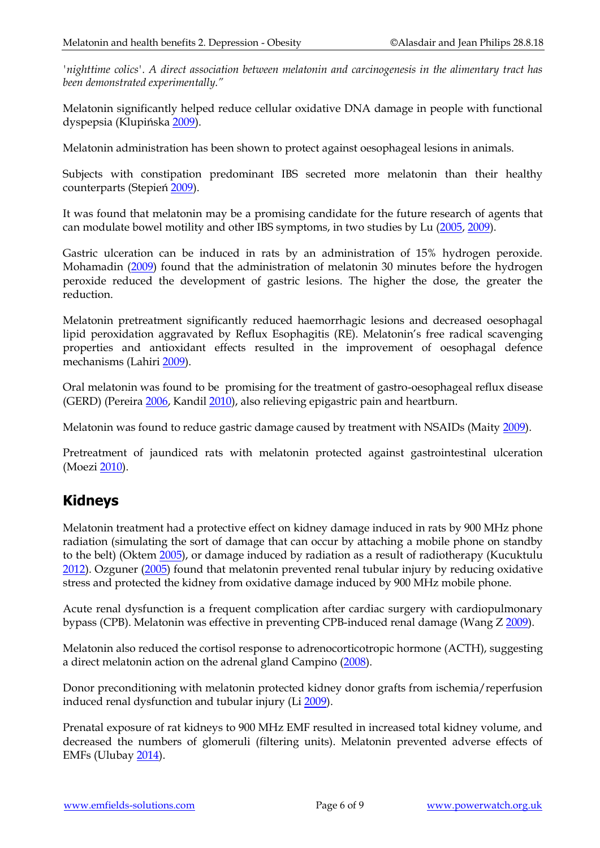*'nighttime colics'. A direct association between melatonin and carcinogenesis in the alimentary tract has been demonstrated experimentally."*

Melatonin significantly helped reduce cellular oxidative DNA damage in people with functional dyspepsia (Klupińska [2009\)](http://www.ncbi.nlm.nih.gov/pubmed/19606675).

Melatonin administration has been shown to protect against oesophageal lesions in animals.

Subjects with constipation predominant IBS secreted more melatonin than their healthy counterparts (Stepień [2009\)](http://www.ncbi.nlm.nih.gov/pubmed/19606692).

It was found that melatonin may be a promising candidate for the future research of agents that can modulate bowel motility and other IBS symptoms, in two studies by Lu [\(2005,](http://www.ncbi.nlm.nih.gov/pubmed/16268966?ordinalpos=2&itool=EntrezSystem2.PEntrez.Pubmed.Pubmed_ResultsPanel.Pubmed_RVDocSum) [2009\)](http://www.ncbi.nlm.nih.gov/pubmed/18720001).

Gastric ulceration can be induced in rats by an administration of 15% hydrogen peroxide. Mohamadin [\(2009\)](http://www.ncbi.nlm.nih.gov/pubmed/18986323) found that the administration of melatonin 30 minutes before the hydrogen peroxide reduced the development of gastric lesions. The higher the dose, the greater the reduction.

Melatonin pretreatment significantly reduced haemorrhagic lesions and decreased oesophagal lipid peroxidation aggravated by Reflux Esophagitis (RE). Melatonin's free radical scavenging properties and antioxidant effects resulted in the improvement of oesophagal defence mechanisms (Lahiri [2009\)](http://www.ncbi.nlm.nih.gov/pubmed/19067786).

Oral melatonin was found to be promising for the treatment of gastro-oesophageal reflux disease (GERD) (Pereira [2006,](http://www.ncbi.nlm.nih.gov/pubmed/16948779) Kandi[l 2010\)](http://www.ncbi.nlm.nih.gov/pubmed/20082715), also relieving epigastric pain and heartburn.

Melatonin was found to reduce gastric damage caused by treatment with NSAIDs (Maity [2009\)](http://www.ncbi.nlm.nih.gov/pubmed/19220725).

Pretreatment of jaundiced rats with melatonin protected against gastrointestinal ulceration (Moezi [2010\)](http://www.ncbi.nlm.nih.gov/pubmed/19767181).

#### **Kidneys**

Melatonin treatment had a protective effect on kidney damage induced in rats by 900 MHz phone radiation (simulating the sort of damage that can occur by attaching a mobile phone on standby to the belt) (Oktem [2005\)](http://www.ncbi.nlm.nih.gov/sites/entrez?Db=pubmed&Cmd=ShowDetailView&TermToSearch=15950073&ordinalpos=23&itool=EntrezSystem2.PEntrez.Pubmed.Pubmed_ResultsPanel.Pubmed_RVDocSum), or damage induced by radiation as a result of radiotherapy (Kucuktulu [2012\)](http://www.ncbi.nlm.nih.gov/pubmed/23098524). Ozguner [\(2005\)](http://www.ncbi.nlm.nih.gov/pubmed/16132682) found that melatonin prevented renal tubular injury by reducing oxidative stress and protected the kidney from oxidative damage induced by 900 MHz mobile phone.

Acute renal dysfunction is a frequent complication after cardiac surgery with cardiopulmonary bypass (CPB). Melatonin was effective in preventing CPB-induced renal damage (Wang Z [2009\)](http://www.ncbi.nlm.nih.gov/pubmed/19317793).

Melatonin also reduced the cortisol response to adrenocorticotropic hormone (ACTH), suggesting a direct melatonin action on the adrenal gland Campino [\(2008\)](http://www.ncbi.nlm.nih.gov/pubmed/19301769).

Donor preconditioning with melatonin protected kidney donor grafts from ischemia/reperfusion induced renal dysfunction and tubular injury (Li [2009\)](http://www.ncbi.nlm.nih.gov/pubmed/19552759).

Prenatal exposure of rat kidneys to 900 MHz EMF resulted in increased total kidney volume, and decreased the numbers of glomeruli (filtering units). Melatonin prevented adverse effects of EMFs (Uluba[y 2014\)](http://www.ncbi.nlm.nih.gov/pubmed/25084839).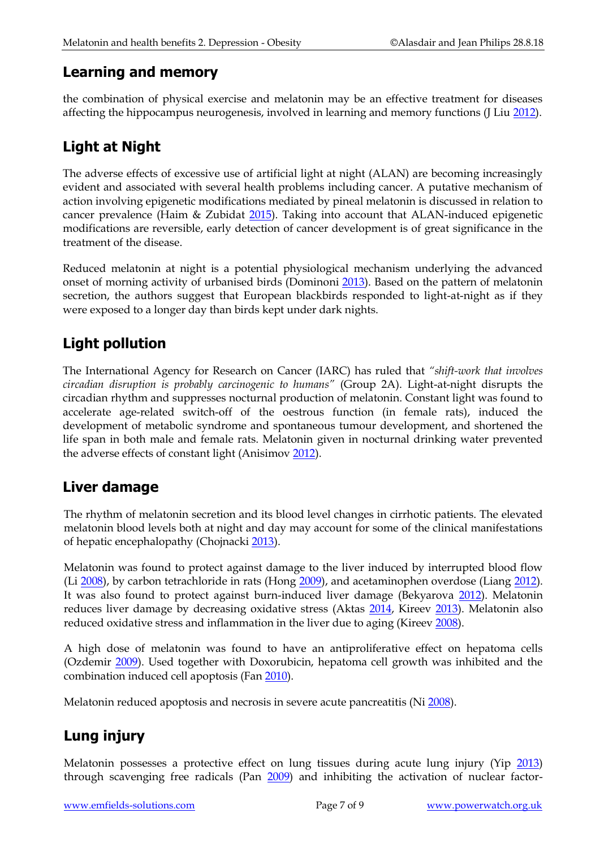#### **Learning and memory**

the combination of physical exercise and melatonin may be an effective treatment for diseases affecting the hippocampus neurogenesis, involved in learning and memory functions (J Liu [2012\)](http://www.ncbi.nlm.nih.gov/pubmed/23190173).

# **Light at Night**

The adverse effects of excessive use of artificial light at night (ALAN) are becoming increasingly evident and associated with several health problems including cancer. A putative mechanism of action involving epigenetic modifications mediated by pineal melatonin is discussed in relation to cancer prevalence (Haim & Zubidat [2015\)](https://www.ncbi.nlm.nih.gov/pubmed/25780234). Taking into account that ALAN-induced epigenetic modifications are reversible, early detection of cancer development is of great significance in the treatment of the disease.

Reduced melatonin at night is a potential physiological mechanism underlying the advanced onset of morning activity of urbanised birds (Dominoni [2013\)](http://www.ncbi.nlm.nih.gov/pubmed/24090446). Based on the pattern of melatonin secretion, the authors suggest that European blackbirds responded to light-at-night as if they were exposed to a longer day than birds kept under dark nights.

## **Light pollution**

The International Agency for Research on Cancer (IARC) has ruled that *"shift-work that involves circadian disruption is probably carcinogenic to humans"* (Group 2A). Light-at-night disrupts the circadian rhythm and suppresses nocturnal production of melatonin. Constant light was found to accelerate age-related switch-off of the oestrous function (in female rats), induced the development of metabolic syndrome and spontaneous tumour development, and shortened the life span in both male and female rats. Melatonin given in nocturnal drinking water prevented the adverse effects of constant light (Anisimov [2012\)](http://www.ncbi.nlm.nih.gov/pubmed/23237593).

## **Liver damage**

The rhythm of melatonin secretion and its blood level changes in cirrhotic patients. The elevated melatonin blood levels both at night and day may account for some of the clinical manifestations of hepatic encephalopathy (Chojnack[i 2013\)](http://www.ncbi.nlm.nih.gov/pubmed/23190028).

Melatonin was found to protect against damage to the liver induced by interrupted blood flow (Li [2008\)](http://www.ncbi.nlm.nih.gov/pubmed/19109875), by carbon tetrachloride in rats (Hong [2009\)](http://www.ncbi.nlm.nih.gov/pubmed/19322917), and acetaminophen overdose (Liang [2012\)](http://www.ncbi.nlm.nih.gov/pubmed/23272189). It was also found to protect against burn-induced liver damage (Bekyarova [2012\)](http://www.ncbi.nlm.nih.gov/pubmed/23058009). Melatonin reduces liver damage by decreasing oxidative stress (Aktas [2014,](http://www.ncbi.nlm.nih.gov/pubmed/23095487) Kireev [2013\)](http://www.ncbi.nlm.nih.gov/pubmed/23220161). Melatonin also reduced oxidative stress and inflammation in the liver due to aging (Kireev [2008\)](http://www.ncbi.nlm.nih.gov/pubmed/18573161).

A high dose of melatonin was found to have an antiproliferative effect on hepatoma cells (Ozdemir [2009\)](http://www.ncbi.nlm.nih.gov/pubmed/19507660). Used together with Doxorubicin, hepatoma cell growth was inhibited and the combination induced cell apoptosis (Fan [2010\)](http://www.ncbi.nlm.nih.gov/pubmed/20333787).

Melatonin reduced apoptosis and necrosis in severe acute pancreatitis (Ni [2008\)](http://www.ncbi.nlm.nih.gov/pubmed/19080501).

# **Lung injury**

Melatonin possesses a protective effect on lung tissues during acute lung injury (Yip [2013\)](http://www.ncbi.nlm.nih.gov/pubmed/23110436) through scavenging free radicals (Pan [2009\)](http://www.ncbi.nlm.nih.gov/pubmed/19693467) and inhibiting the activation of nuclear factor-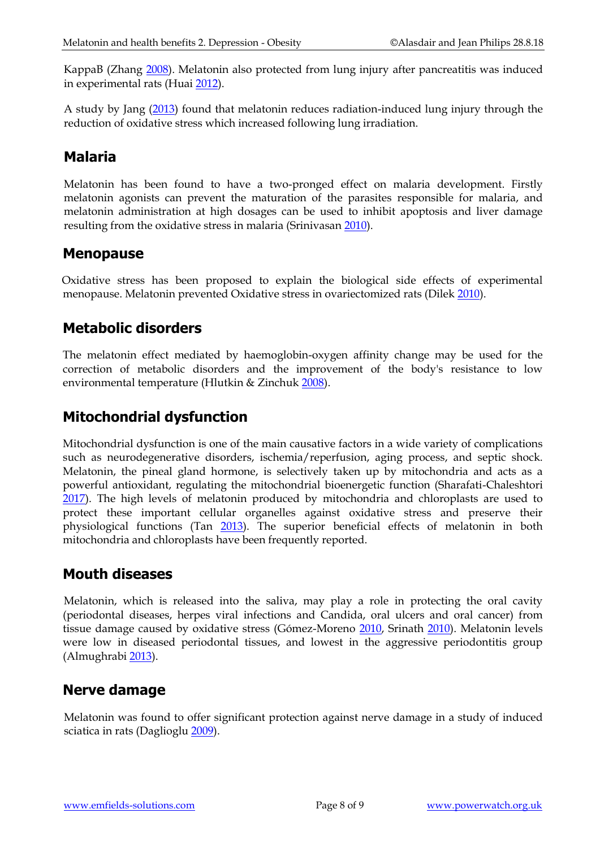KappaB (Zhang [2008\)](http://www.ncbi.nlm.nih.gov/pubmed/18926072). Melatonin also protected from lung injury after pancreatitis was induced in experimental rats (Huai [2012\)](http://www.ncbi.nlm.nih.gov/pubmed/23049224).

A study by Jang [\(2013\)](https://www.ncbi.nlm.nih.gov/pubmed/23046278) found that melatonin reduces radiation-induced lung injury through the reduction of oxidative stress which increased following lung irradiation.

#### **Malaria**

Melatonin has been found to have a two-pronged effect on malaria development. Firstly melatonin agonists can prevent the maturation of the parasites responsible for malaria, and melatonin administration at high dosages can be used to inhibit apoptosis and liver damage resulting from the oxidative stress in malaria (Srinivasan [2010\)](http://www.ncbi.nlm.nih.gov/pubmed/20025640).

#### **Menopause**

Oxidative stress has been proposed to explain the biological side effects of experimental menopause. Melatonin prevented Oxidative stress in ovariectomized rats (Dilek [2010\)](http://www.ncbi.nlm.nih.gov/pubmed/20140668).

#### **Metabolic disorders**

The melatonin effect mediated by haemoglobin-oxygen affinity change may be used for the correction of metabolic disorders and the improvement of the body's resistance to low environmental temperature (Hlutkin & Zinchuk [2008\)](http://www.ncbi.nlm.nih.gov/pubmed/18930873).

#### **Mitochondrial dysfunction**

Mitochondrial dysfunction is one of the main causative factors in a wide variety of complications such as neurodegenerative disorders, ischemia/reperfusion, aging process, and septic shock. Melatonin, the pineal gland hormone, is selectively taken up by mitochondria and acts as a powerful antioxidant, regulating the mitochondrial bioenergetic function (Sharafati-Chaleshtori [2017\)](https://www.ncbi.nlm.nih.gov/pubmed/28400824). The high levels of melatonin produced by mitochondria and chloroplasts are used to protect these important cellular organelles against oxidative stress and preserve their physiological functions (Tan [2013\)](https://www.ncbi.nlm.nih.gov/pubmed/23137057). The superior beneficial effects of melatonin in both mitochondria and chloroplasts have been frequently reported.

#### **Mouth diseases**

Melatonin, which is released into the saliva, may play a role in protecting the oral cavity (periodontal diseases, herpes viral infections and Candida, oral ulcers and oral cancer) from tissue damage caused by oxidative stress (Gómez-Moreno [2010,](http://www.ncbi.nlm.nih.gov/pubmed/19682319) Srinath [2010\)](http://www.ncbi.nlm.nih.gov/pubmed/20151807). Melatonin levels were low in diseased periodontal tissues, and lowest in the aggressive periodontitis group (Almughrabi [2013\)](http://www.ncbi.nlm.nih.gov/pubmed/23033974).

## **Nerve damage**

Melatonin was found to offer significant protection against nerve damage in a study of induced sciatica in rats (Dagliogl[u 2009\)](http://www.ncbi.nlm.nih.gov/pubmed/19701868).